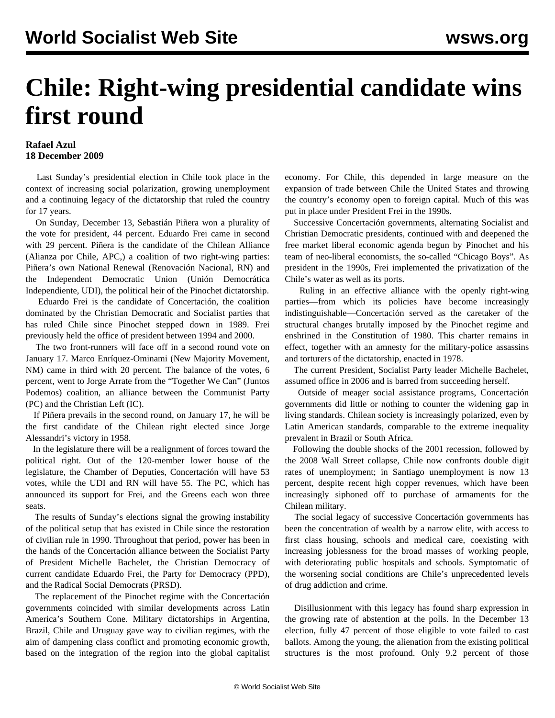## **Chile: Right-wing presidential candidate wins first round**

## **Rafael Azul 18 December 2009**

 Last Sunday's presidential election in Chile took place in the context of increasing social polarization, growing unemployment and a continuing legacy of the dictatorship that ruled the country for 17 years.

 On Sunday, December 13, Sebastián Piñera won a plurality of the vote for president, 44 percent. Eduardo Frei came in second with 29 percent. Piñera is the candidate of the Chilean Alliance (Alianza por Chile, APC,) a coalition of two right-wing parties: Piñera's own National Renewal (Renovación Nacional, RN) and the Independent Democratic Union (Unión Democrática Independiente, UDI), the political heir of the Pinochet dictatorship.

 Eduardo Frei is the candidate of Concertación, the coalition dominated by the Christian Democratic and Socialist parties that has ruled Chile since Pinochet stepped down in 1989. Frei previously held the office of president between 1994 and 2000.

 The two front-runners will face off in a second round vote on January 17. Marco Enríquez-Ominami (New Majority Movement, NM) came in third with 20 percent. The balance of the votes, 6 percent, went to Jorge Arrate from the "Together We Can" (Juntos Podemos) coalition, an alliance between the Communist Party (PC) and the Christian Left (IC).

 If Piñera prevails in the second round, on January 17, he will be the first candidate of the Chilean right elected since Jorge Alessandri's victory in 1958.

 In the legislature there will be a realignment of forces toward the political right. Out of the 120-member lower house of the legislature, the Chamber of Deputies, Concertación will have 53 votes, while the UDI and RN will have 55. The PC, which has announced its support for Frei, and the Greens each won three seats.

 The results of Sunday's elections signal the growing instability of the political setup that has existed in Chile since the restoration of civilian rule in 1990. Throughout that period, power has been in the hands of the Concertación alliance between the Socialist Party of President Michelle Bachelet, the Christian Democracy of current candidate Eduardo Frei, the Party for Democracy (PPD), and the Radical Social Democrats (PRSD).

 The replacement of the Pinochet regime with the Concertación governments coincided with similar developments across Latin America's Southern Cone. Military dictatorships in Argentina, Brazil, Chile and Uruguay gave way to civilian regimes, with the aim of dampening class conflict and promoting economic growth, based on the integration of the region into the global capitalist economy. For Chile, this depended in large measure on the expansion of trade between Chile the United States and throwing the country's economy open to foreign capital. Much of this was put in place under President Frei in the 1990s.

 Successive Concertación governments, alternating Socialist and Christian Democratic presidents, continued with and deepened the free market liberal economic agenda begun by Pinochet and his team of neo-liberal economists, the so-called "Chicago Boys". As president in the 1990s, Frei implemented the privatization of the Chile's water as well as its ports.

 Ruling in an effective alliance with the openly right-wing parties—from which its policies have become increasingly indistinguishable—Concertación served as the caretaker of the structural changes brutally imposed by the Pinochet regime and enshrined in the Constitution of 1980. This charter remains in effect, together with an amnesty for the military-police assassins and torturers of the dictatorship, enacted in 1978.

 The current President, Socialist Party leader Michelle Bachelet, assumed office in 2006 and is barred from succeeding herself.

 Outside of meager social assistance programs, Concertación governments did little or nothing to counter the widening gap in living standards. Chilean society is increasingly polarized, even by Latin American standards, comparable to the extreme inequality prevalent in Brazil or South Africa.

 Following the double shocks of the 2001 recession, followed by the 2008 Wall Street collapse, Chile now confronts double digit rates of unemployment; in Santiago unemployment is now 13 percent, despite recent high copper revenues, which have been increasingly siphoned off to purchase of armaments for the Chilean military.

 The social legacy of successive Concertación governments has been the concentration of wealth by a narrow elite, with access to first class housing, schools and medical care, coexisting with increasing joblessness for the broad masses of working people, with deteriorating public hospitals and schools. Symptomatic of the worsening social conditions are Chile's unprecedented levels of drug addiction and crime.

 Disillusionment with this legacy has found sharp expression in the growing rate of abstention at the polls. In the December 13 election, fully 47 percent of those eligible to vote failed to cast ballots. Among the young, the alienation from the existing political structures is the most profound. Only 9.2 percent of those